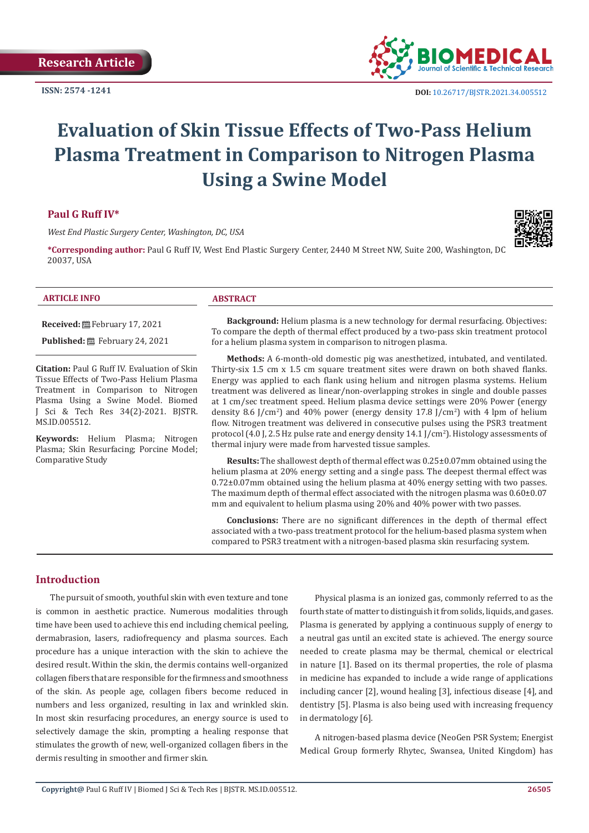**ISSN: 2574 -1241**



# **Evaluation of Skin Tissue Effects of Two-Pass Helium Plasma Treatment in Comparison to Nitrogen Plasma Using a Swine Model**

# **Paul G Ruff IV\***

*West End Plastic Surgery Center, Washington, DC, USA*

**\*Corresponding author:** Paul G Ruff IV, West End Plastic Surgery Center, 2440 M Street NW, Suite 200, Washington, DC 20037, USA



## **ARTICLE INFO ABSTRACT**

**Received:** February 17, 2021

**Published:** February 24, 2021

**Citation:** Paul G Ruff IV. Evaluation of Skin Tissue Effects of Two-Pass Helium Plasma Treatment in Comparison to Nitrogen Plasma Using a Swine Model. Biomed J Sci & Tech Res 34(2)-2021. BJSTR. MS.ID.005512.

**Keywords:** Helium Plasma; Nitrogen Plasma; Skin Resurfacing; Porcine Model; Comparative Study

**Background:** Helium plasma is a new technology for dermal resurfacing. Objectives: To compare the depth of thermal effect produced by a two-pass skin treatment protocol for a helium plasma system in comparison to nitrogen plasma.

**Methods:** A 6-month-old domestic pig was anesthetized, intubated, and ventilated. Thirty-six 1.5 cm x 1.5 cm square treatment sites were drawn on both shaved flanks. Energy was applied to each flank using helium and nitrogen plasma systems. Helium treatment was delivered as linear/non-overlapping strokes in single and double passes at 1 cm/sec treatment speed. Helium plasma device settings were 20% Power (energy density 8.6 J/cm<sup>2</sup>) and 40% power (energy density  $17.8$  J/cm<sup>2</sup>) with 4 lpm of helium flow. Nitrogen treatment was delivered in consecutive pulses using the PSR3 treatment protocol (4.0 J, 2.5 Hz pulse rate and energy density 14.1 J/cm2 ). Histology assessments of thermal injury were made from harvested tissue samples.

**Results:** The shallowest depth of thermal effect was 0.25±0.07mm obtained using the helium plasma at 20% energy setting and a single pass. The deepest thermal effect was  $0.72\pm0.07$  mm obtained using the helium plasma at  $40\%$  energy setting with two passes. The maximum depth of thermal effect associated with the nitrogen plasma was  $0.60\pm0.07$ mm and equivalent to helium plasma using 20% and 40% power with two passes.

**Conclusions:** There are no significant differences in the depth of thermal effect associated with a two-pass treatment protocol for the helium-based plasma system when compared to PSR3 treatment with a nitrogen-based plasma skin resurfacing system.

# **Introduction**

The pursuit of smooth, youthful skin with even texture and tone is common in aesthetic practice. Numerous modalities through time have been used to achieve this end including chemical peeling, dermabrasion, lasers, radiofrequency and plasma sources. Each procedure has a unique interaction with the skin to achieve the desired result. Within the skin, the dermis contains well-organized collagen fibers that are responsible for the firmness and smoothness of the skin. As people age, collagen fibers become reduced in numbers and less organized, resulting in lax and wrinkled skin. In most skin resurfacing procedures, an energy source is used to selectively damage the skin, prompting a healing response that stimulates the growth of new, well-organized collagen fibers in the dermis resulting in smoother and firmer skin.

Physical plasma is an ionized gas, commonly referred to as the fourth state of matter to distinguish it from solids, liquids, and gases. Plasma is generated by applying a continuous supply of energy to a neutral gas until an excited state is achieved. The energy source needed to create plasma may be thermal, chemical or electrical in nature [1]. Based on its thermal properties, the role of plasma in medicine has expanded to include a wide range of applications including cancer [2], wound healing [3], infectious disease [4], and dentistry [5]. Plasma is also being used with increasing frequency in dermatology [6].

A nitrogen-based plasma device (NeoGen PSR System; Energist Medical Group formerly Rhytec, Swansea, United Kingdom) has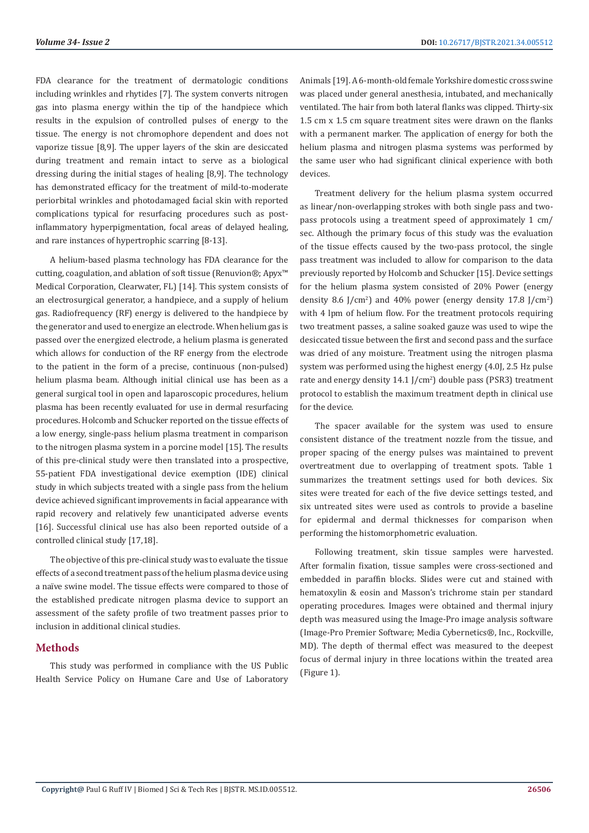FDA clearance for the treatment of dermatologic conditions including wrinkles and rhytides [7]. The system converts nitrogen gas into plasma energy within the tip of the handpiece which results in the expulsion of controlled pulses of energy to the tissue. The energy is not chromophore dependent and does not vaporize tissue [8,9]. The upper layers of the skin are desiccated during treatment and remain intact to serve as a biological dressing during the initial stages of healing [8,9]. The technology has demonstrated efficacy for the treatment of mild-to-moderate periorbital wrinkles and photodamaged facial skin with reported complications typical for resurfacing procedures such as postinflammatory hyperpigmentation, focal areas of delayed healing, and rare instances of hypertrophic scarring [8-13].

A helium-based plasma technology has FDA clearance for the cutting, coagulation, and ablation of soft tissue (Renuvion®; Apyx™ Medical Corporation, Clearwater, FL) [14]. This system consists of an electrosurgical generator, a handpiece, and a supply of helium gas. Radiofrequency (RF) energy is delivered to the handpiece by the generator and used to energize an electrode. When helium gas is passed over the energized electrode, a helium plasma is generated which allows for conduction of the RF energy from the electrode to the patient in the form of a precise, continuous (non-pulsed) helium plasma beam. Although initial clinical use has been as a general surgical tool in open and laparoscopic procedures, helium plasma has been recently evaluated for use in dermal resurfacing procedures. Holcomb and Schucker reported on the tissue effects of a low energy, single-pass helium plasma treatment in comparison to the nitrogen plasma system in a porcine model [15]. The results of this pre-clinical study were then translated into a prospective, 55-patient FDA investigational device exemption (IDE) clinical study in which subjects treated with a single pass from the helium device achieved significant improvements in facial appearance with rapid recovery and relatively few unanticipated adverse events [16]. Successful clinical use has also been reported outside of a controlled clinical study [17,18].

The objective of this pre-clinical study was to evaluate the tissue effects of a second treatment pass of the helium plasma device using a naïve swine model. The tissue effects were compared to those of the established predicate nitrogen plasma device to support an assessment of the safety profile of two treatment passes prior to inclusion in additional clinical studies.

# **Methods**

This study was performed in compliance with the US Public Health Service Policy on Humane Care and Use of Laboratory

Animals [19]. A 6-month-old female Yorkshire domestic cross swine was placed under general anesthesia, intubated, and mechanically ventilated. The hair from both lateral flanks was clipped. Thirty-six 1.5 cm x 1.5 cm square treatment sites were drawn on the flanks with a permanent marker. The application of energy for both the helium plasma and nitrogen plasma systems was performed by the same user who had significant clinical experience with both devices.

Treatment delivery for the helium plasma system occurred as linear/non-overlapping strokes with both single pass and twopass protocols using a treatment speed of approximately 1 cm/ sec. Although the primary focus of this study was the evaluation of the tissue effects caused by the two-pass protocol, the single pass treatment was included to allow for comparison to the data previously reported by Holcomb and Schucker [15]. Device settings for the helium plasma system consisted of 20% Power (energy density 8.6 J/cm<sup>2</sup>) and 40% power (energy density 17.8 J/cm<sup>2</sup>) with 4 lpm of helium flow. For the treatment protocols requiring two treatment passes, a saline soaked gauze was used to wipe the desiccated tissue between the first and second pass and the surface was dried of any moisture. Treatment using the nitrogen plasma system was performed using the highest energy (4.0J, 2.5 Hz pulse rate and energy density 14.1 J/cm<sup>2</sup>) double pass (PSR3) treatment protocol to establish the maximum treatment depth in clinical use for the device.

The spacer available for the system was used to ensure consistent distance of the treatment nozzle from the tissue, and proper spacing of the energy pulses was maintained to prevent overtreatment due to overlapping of treatment spots. Table 1 summarizes the treatment settings used for both devices. Six sites were treated for each of the five device settings tested, and six untreated sites were used as controls to provide a baseline for epidermal and dermal thicknesses for comparison when performing the histomorphometric evaluation.

Following treatment, skin tissue samples were harvested. After formalin fixation, tissue samples were cross-sectioned and embedded in paraffin blocks. Slides were cut and stained with hematoxylin & eosin and Masson's trichrome stain per standard operating procedures. Images were obtained and thermal injury depth was measured using the Image-Pro image analysis software (Image-Pro Premier Software; Media Cybernetics®, Inc., Rockville, MD). The depth of thermal effect was measured to the deepest focus of dermal injury in three locations within the treated area (Figure 1).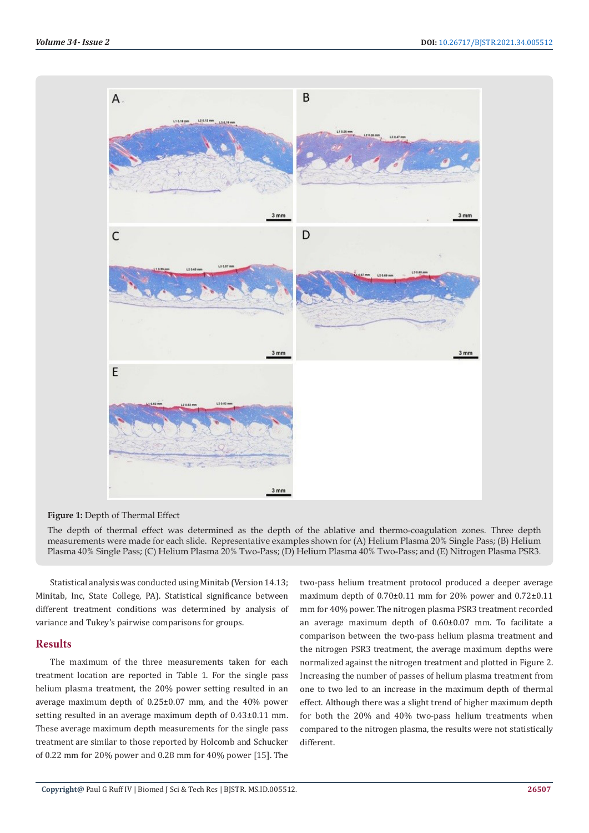

#### **Figure 1:** Depth of Thermal Effect

The depth of thermal effect was determined as the depth of the ablative and thermo-coagulation zones. Three depth measurements were made for each slide. Representative examples shown for (A) Helium Plasma 20% Single Pass; (B) Helium Plasma 40% Single Pass; (C) Helium Plasma 20% Two-Pass; (D) Helium Plasma 40% Two-Pass; and (E) Nitrogen Plasma PSR3.

Statistical analysis was conducted using Minitab (Version 14.13; Minitab, Inc, State College, PA). Statistical significance between different treatment conditions was determined by analysis of variance and Tukey's pairwise comparisons for groups.

## **Results**

The maximum of the three measurements taken for each treatment location are reported in Table 1. For the single pass helium plasma treatment, the 20% power setting resulted in an average maximum depth of 0.25±0.07 mm, and the 40% power setting resulted in an average maximum depth of 0.43±0.11 mm. These average maximum depth measurements for the single pass treatment are similar to those reported by Holcomb and Schucker of 0.22 mm for 20% power and 0.28 mm for 40% power [15]. The

two-pass helium treatment protocol produced a deeper average maximum depth of 0.70±0.11 mm for 20% power and 0.72±0.11 mm for 40% power. The nitrogen plasma PSR3 treatment recorded an average maximum depth of 0.60±0.07 mm. To facilitate a comparison between the two-pass helium plasma treatment and the nitrogen PSR3 treatment, the average maximum depths were normalized against the nitrogen treatment and plotted in Figure 2. Increasing the number of passes of helium plasma treatment from one to two led to an increase in the maximum depth of thermal effect. Although there was a slight trend of higher maximum depth for both the 20% and 40% two-pass helium treatments when compared to the nitrogen plasma, the results were not statistically different.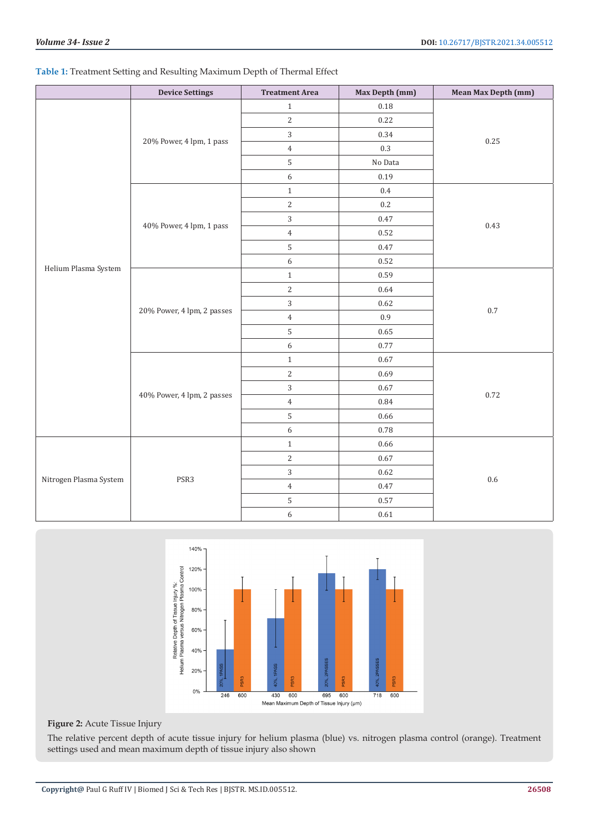# **Table 1:** Treatment Setting and Resulting Maximum Depth of Thermal Effect

|                        | <b>Device Settings</b>     | <b>Treatment Area</b> | Max Depth (mm) | Mean Max Depth (mm) |
|------------------------|----------------------------|-----------------------|----------------|---------------------|
| Helium Plasma System   | 20% Power, 4 lpm, 1 pass   | $\,1\,$               | $0.18\,$       | 0.25                |
|                        |                            | $\sqrt{2}$            | 0.22           |                     |
|                        |                            | 3                     | 0.34           |                     |
|                        |                            | $\,4\,$               | $0.3\,$        |                     |
|                        |                            | 5                     | No Data        |                     |
|                        |                            | $\sqrt{6}$            | 0.19           |                     |
|                        | 40% Power, 4 lpm, 1 pass   | $\,1\,$               | $0.4\,$        | 0.43                |
|                        |                            | $\overline{2}$        | $0.2\,$        |                     |
|                        |                            | $\overline{3}$        | 0.47           |                     |
|                        |                            | $\overline{4}$        | 0.52           |                     |
|                        |                            | 5                     | $0.47\,$       |                     |
|                        |                            | $\sqrt{6}$            | 0.52           |                     |
|                        | 20% Power, 4 lpm, 2 passes | $\,1\,$               | 0.59           | $0.7\,$             |
|                        |                            | $\sqrt{2}$            | 0.64           |                     |
|                        |                            | 3                     | 0.62           |                     |
|                        |                            | $\,4\,$               | $0.9\,$        |                     |
|                        |                            | 5                     | 0.65           |                     |
|                        |                            | $\boldsymbol{6}$      | 0.77           |                     |
|                        | 40% Power, 4 lpm, 2 passes | $\,1\,$               | 0.67           | 0.72                |
|                        |                            | $\overline{2}$        | 0.69           |                     |
|                        |                            | $\overline{3}$        | $0.67\,$       |                     |
|                        |                            | $\,4\,$               | 0.84           |                     |
|                        |                            | 5                     | 0.66           |                     |
|                        |                            | $\boldsymbol{6}$      | 0.78           |                     |
| Nitrogen Plasma System | PSR3                       | $\mathbf{1}$          | 0.66           | 0.6                 |
|                        |                            | $\sqrt{2}$            | $0.67\,$       |                     |
|                        |                            | $\overline{3}$        | $0.62\,$       |                     |
|                        |                            | $\,4\,$               | $0.47\,$       |                     |
|                        |                            | 5                     | $0.57\,$       |                     |
|                        |                            | $\boldsymbol{6}$      | $0.61\,$       |                     |



## **Figure 2:** Acute Tissue Injury

The relative percent depth of acute tissue injury for helium plasma (blue) vs. nitrogen plasma control (orange). Treatment settings used and mean maximum depth of tissue injury also shown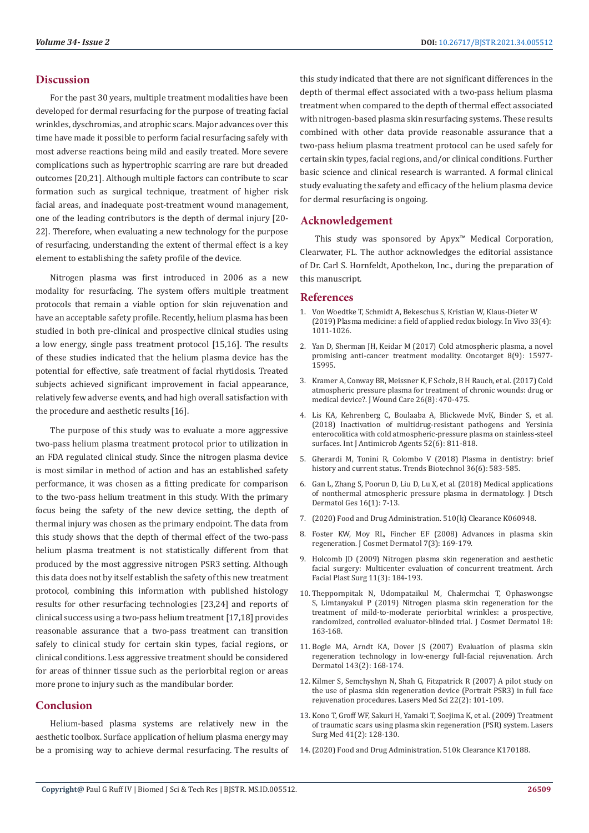## **Discussion**

For the past 30 years, multiple treatment modalities have been developed for dermal resurfacing for the purpose of treating facial wrinkles, dyschromias, and atrophic scars. Major advances over this time have made it possible to perform facial resurfacing safely with most adverse reactions being mild and easily treated. More severe complications such as hypertrophic scarring are rare but dreaded outcomes [20,21]. Although multiple factors can contribute to scar formation such as surgical technique, treatment of higher risk facial areas, and inadequate post-treatment wound management, one of the leading contributors is the depth of dermal injury [20- 22]. Therefore, when evaluating a new technology for the purpose of resurfacing, understanding the extent of thermal effect is a key element to establishing the safety profile of the device.

Nitrogen plasma was first introduced in 2006 as a new modality for resurfacing. The system offers multiple treatment protocols that remain a viable option for skin rejuvenation and have an acceptable safety profile. Recently, helium plasma has been studied in both pre-clinical and prospective clinical studies using a low energy, single pass treatment protocol [15,16]. The results of these studies indicated that the helium plasma device has the potential for effective, safe treatment of facial rhytidosis. Treated subjects achieved significant improvement in facial appearance, relatively few adverse events, and had high overall satisfaction with the procedure and aesthetic results [16].

The purpose of this study was to evaluate a more aggressive two-pass helium plasma treatment protocol prior to utilization in an FDA regulated clinical study. Since the nitrogen plasma device is most similar in method of action and has an established safety performance, it was chosen as a fitting predicate for comparison to the two-pass helium treatment in this study. With the primary focus being the safety of the new device setting, the depth of thermal injury was chosen as the primary endpoint. The data from this study shows that the depth of thermal effect of the two-pass helium plasma treatment is not statistically different from that produced by the most aggressive nitrogen PSR3 setting. Although this data does not by itself establish the safety of this new treatment protocol, combining this information with published histology results for other resurfacing technologies [23,24] and reports of clinical success using a two-pass helium treatment [17,18] provides reasonable assurance that a two-pass treatment can transition safely to clinical study for certain skin types, facial regions, or clinical conditions. Less aggressive treatment should be considered for areas of thinner tissue such as the periorbital region or areas more prone to injury such as the mandibular border.

# **Conclusion**

Helium-based plasma systems are relatively new in the aesthetic toolbox. Surface application of helium plasma energy may be a promising way to achieve dermal resurfacing. The results of this study indicated that there are not significant differences in the depth of thermal effect associated with a two-pass helium plasma treatment when compared to the depth of thermal effect associated with nitrogen-based plasma skin resurfacing systems. These results combined with other data provide reasonable assurance that a two-pass helium plasma treatment protocol can be used safely for certain skin types, facial regions, and/or clinical conditions. Further basic science and clinical research is warranted. A formal clinical study evaluating the safety and efficacy of the helium plasma device for dermal resurfacing is ongoing.

## **Acknowledgement**

This study was sponsored by Apyx™ Medical Corporation, Clearwater, FL. The author acknowledges the editorial assistance of Dr. Carl S. Hornfeldt, Apothekon, Inc., during the preparation of this manuscript.

## **References**

- 1. [Von Woedtke T, Schmidt A, Bekeschus S, Kristian W, Klaus-Dieter W](https://www.ncbi.nlm.nih.gov/pmc/articles/PMC6689367/)  [\(2019\) Plasma medicine: a field of applied redox biology. In Vivo 33\(4\):](https://www.ncbi.nlm.nih.gov/pmc/articles/PMC6689367/)  [1011-1026.](https://www.ncbi.nlm.nih.gov/pmc/articles/PMC6689367/)
- 2. [Yan D, Sherman JH, Keidar M \(2017\) Cold atmospheric plasma, a novel](https://www.ncbi.nlm.nih.gov/pmc/articles/PMC5362540/) [promising anti-cancer treatment modality. Oncotarget 8\(9\): 15977-](https://www.ncbi.nlm.nih.gov/pmc/articles/PMC5362540/) [15995.](https://www.ncbi.nlm.nih.gov/pmc/articles/PMC5362540/)
- 3. [Kramer A, Conway BR, Meissner K, F Scholz, B H Rauch, et al. \(2017\) Cold](https://pubmed.ncbi.nlm.nih.gov/28795892/) [atmospheric pressure plasma for treatment of chronic wounds: drug or](https://pubmed.ncbi.nlm.nih.gov/28795892/) [medical device?. J Wound Care 26\(8\): 470-475.](https://pubmed.ncbi.nlm.nih.gov/28795892/)
- 4. [Lis KA, Kehrenberg C, Boulaaba A, Blickwede MvK, Binder S, et al.](https://pubmed.ncbi.nlm.nih.gov/30176354/) [\(2018\) Inactivation of multidrug-resistant pathogens and Yersinia](https://pubmed.ncbi.nlm.nih.gov/30176354/) [enterocolitica with cold atmospheric-pressure plasma on stainless-steel](https://pubmed.ncbi.nlm.nih.gov/30176354/) [surfaces. Int J Antimicrob Agents 52\(6\): 811-818.](https://pubmed.ncbi.nlm.nih.gov/30176354/)
- 5. [Gherardi M, Tonini R, Colombo V \(2018\) Plasma in dentistry: brief](https://europepmc.org/article/med/28693858) [history and current status. Trends Biotechnol 36\(6\): 583-585.](https://europepmc.org/article/med/28693858)
- 6. [Gan L, Zhang S, Poorun D, Liu D, Lu X, et al. \(2018\) Medical applications](https://onlinelibrary.wiley.com/doi/10.1111/ddg.13373) [of nonthermal atmospheric pressure plasma in dermatology. J Dtsch](https://onlinelibrary.wiley.com/doi/10.1111/ddg.13373) [Dermatol Ges 16\(1\): 7-13.](https://onlinelibrary.wiley.com/doi/10.1111/ddg.13373)
- 7. [\(2020\) Food and Drug Administration. 510\(k\) Clearance K060948.](https://www.accessdata.fda.gov/cdrh_docs/pdf6/K060948.pdf)
- 8. [Foster KW, Moy RL, Fincher EF \(2008\) Advances in plasma skin](https://www.researchgate.net/publication/23254628_Advances_in_plasma_skin_regeneration) [regeneration. J Cosmet Dermatol 7\(3\): 169-179.](https://www.researchgate.net/publication/23254628_Advances_in_plasma_skin_regeneration)
- 9. [Holcomb JD \(2009\) Nitrogen plasma skin regeneration and aesthetic](https://pubmed.ncbi.nlm.nih.gov/19451453/) [facial surgery: Multicenter evaluation of concurrent treatment. Arch](https://pubmed.ncbi.nlm.nih.gov/19451453/) [Facial Plast Surg 11\(3\): 184-193.](https://pubmed.ncbi.nlm.nih.gov/19451453/)
- 10. [Theppornpitak N, Udompataikul M, Chalermchai T, Ophaswongse](https://www.energist.com/wp-content/uploads/2019/06/NeoGen-Clinical-Case-Study.pdf) [S, Limtanyakul P \(2019\) Nitrogen plasma skin regeneration for the](https://www.energist.com/wp-content/uploads/2019/06/NeoGen-Clinical-Case-Study.pdf) [treatment of mild-to-moderate periorbital wrinkles: a prospective,](https://www.energist.com/wp-content/uploads/2019/06/NeoGen-Clinical-Case-Study.pdf) [randomized, controlled evaluator-blinded trial. J Cosmet Dermatol 18:](https://www.energist.com/wp-content/uploads/2019/06/NeoGen-Clinical-Case-Study.pdf) [163-168.](https://www.energist.com/wp-content/uploads/2019/06/NeoGen-Clinical-Case-Study.pdf)
- 11. [Bogle MA, Arndt KA, Dover JS \(2007\) Evaluation of plasma skin](https://pubmed.ncbi.nlm.nih.gov/17309997/) [regeneration technology in low-energy full-facial rejuvenation. Arch](https://pubmed.ncbi.nlm.nih.gov/17309997/) [Dermatol 143\(2\): 168-174.](https://pubmed.ncbi.nlm.nih.gov/17309997/)
- 12. [Kilmer S, Semchyshyn N, Shah G, Fitzpatrick R \(2007\) A pilot study on](https://pubmed.ncbi.nlm.nih.gov/17342383/) [the use of plasma skin regeneration device \(Portrait PSR3\) in full face](https://pubmed.ncbi.nlm.nih.gov/17342383/) [rejuvenation procedures. Lasers Med Sci 22\(2\): 101-109.](https://pubmed.ncbi.nlm.nih.gov/17342383/)
- 13. [Kono T, Groff WF, Sakuri H, Yamaki T, Soejima K, et al. \(2009\) Treatment](https://europepmc.org/article/med/19226574) [of traumatic scars using plasma skin regeneration \(PSR\) system. Lasers](https://europepmc.org/article/med/19226574) [Surg Med 41\(2\): 128-130.](https://europepmc.org/article/med/19226574)
- 14.[\(2020\) Food and Drug Administration. 510k Clearance K170188.](https://www.accessdata.fda.gov/cdrh_docs/pdf17/K170188.pdf)